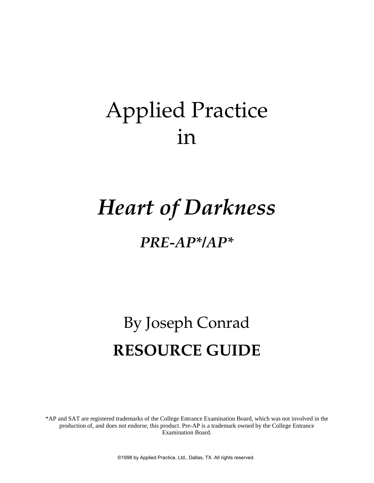## Applied Practice in

# *Heart of Darkness*

### *PRE-AP\*/AP\**

# By Joseph Conrad **RESOURCE GUIDE**

\*AP and SAT are registered trademarks of the College Entrance Examination Board, which was not involved in the production of, and does not endorse, this product. Pre-AP is a trademark owned by the College Entrance Examination Board.

©1998 by Applied Practice, Ltd., Dallas, TX. All rights reserved.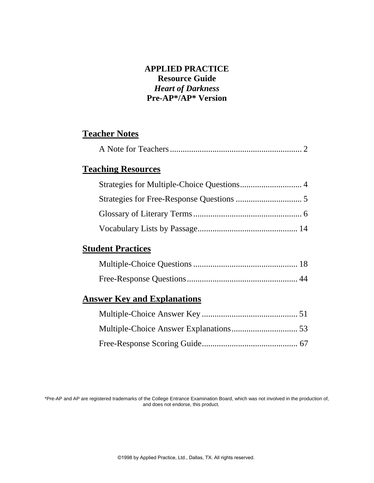#### **APPLIED PRACTICE Resource Guide** *Heart of Darkness*  **Pre-AP\*/AP\* Version**

### **Teacher Notes**

|--|

### **Teaching Resources**

#### **Student Practices**

#### **Answer Key and Explanations**

\*Pre-AP and AP are registered trademarks of the College Entrance Examination Board, which was not involved in the production of, and does not endorse, this product.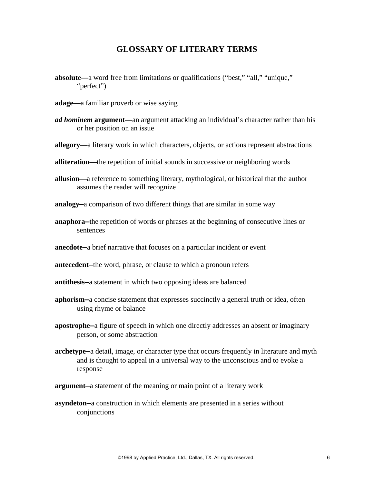#### **GLOSSARY OF LITERARY TERMS**

- **absolute—**a word free from limitations or qualifications ("best," "all," "unique," "perfect")
- **adage—**a familiar proverb or wise saying
- *ad hominem* **argument—**an argument attacking an individual's character rather than his or her position on an issue
- **allegory—**a literary work in which characters, objects, or actions represent abstractions
- **alliteration—**the repetition of initial sounds in successive or neighboring words
- **allusion—**a reference to something literary, mythological, or historical that the author assumes the reader will recognize
- **analogy—**a comparison of two different things that are similar in some way
- **anaphora—**the repetition of words or phrases at the beginning of consecutive lines or sentences
- **anecdote—**a brief narrative that focuses on a particular incident or event
- **antecedent—**the word, phrase, or clause to which a pronoun refers
- **antithesis—**a statement in which two opposing ideas are balanced
- **aphorism—**a concise statement that expresses succinctly a general truth or idea, often using rhyme or balance
- **apostrophe—**a figure of speech in which one directly addresses an absent or imaginary person, or some abstraction
- **archetype—**a detail, image, or character type that occurs frequently in literature and myth and is thought to appeal in a universal way to the unconscious and to evoke a response
- **argument—**a statement of the meaning or main point of a literary work
- **asyndeton—**a construction in which elements are presented in a series without conjunctions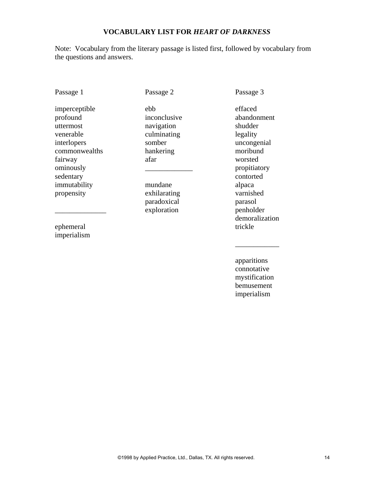#### **VOCABULARY LIST FOR** *HEART OF DARKNESS*

Note: Vocabulary from the literary passage is listed first, followed by vocabulary from the questions and answers.

Passage 1

Passage 2

imperceptible profound uttermost venerable interlopers commonwealths fairway ominously sedentary immutability propensity

ephemeral imperialism

 $\overline{\phantom{a}}$  , where  $\overline{\phantom{a}}$ 

\_\_\_\_\_\_\_\_\_\_\_\_\_ ebb inconclusive navigation culminating somber hankering afar

mundane exhilarating paradoxical exploration

Passage 3

effaced abandonment shudder legality uncongenial moribund worsted propitiatory contorted alpaca varnished parasol penholder demoralization trickle

apparitions connotative mystification bemusement imperialism

\_\_\_\_\_\_\_\_\_\_\_\_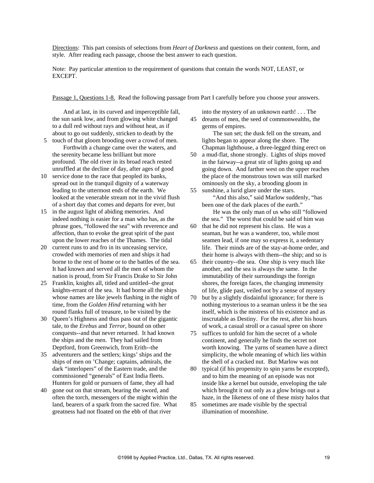Directions: This part consists of selections from *Heart of Darkness* and questions on their content, form, and style. After reading each passage, choose the best answer to each question.

Note: Pay particular attention to the requirement of questions that contain the words NOT, LEAST, or EXCEPT.

Passage 1, Questions 1-8. Read the following passage from Part I carefully before you choose your answers.

And at last, in its curved and imperceptible fall, the sun sank low, and from glowing white changed to a dull red without rays and without heat, as if about to go out suddenly, stricken to death by the

- 5 touch of that gloom brooding over a crowd of men. Forthwith a change came over the waters, and the serenity became less brilliant but more profound. The old river in its broad reach rested unruffled at the decline of day, after ages of good
- 10 service done to the race that peopled its banks, spread out in the tranquil dignity of a waterway leading to the uttermost ends of the earth. We looked at the venerable stream not in the vivid flush of a short day that comes and departs for ever, but
- 15 in the august light of abiding memories. And indeed nothing is easier for a man who has, as the phrase goes, "followed the sea" with reverence and affection, than to evoke the great spirit of the past upon the lower reaches of the Thames. The tidal
- 20 current runs to and fro in its unceasing service, crowded with memories of men and ships it had borne to the rest of home or to the battles of the sea. It had known and served all the men of whom the nation is proud, from Sir Francis Drake to Sir John
- 25 Franklin, knights all, titled and untitled--the great knights-errant of the sea. It had borne all the ships whose names are like jewels flashing in the night of time, from the *Golden Hind* returning with her round flanks full of treasure, to be visited by the
- 30 Queen's Highness and thus pass out of the gigantic tale, to the *Erebus* and *Terror*, bound on other conquests--and that never returned. It had known the ships and the men. They had sailed from Deptford, from Greenwich, from Erith--the
- 35 adventurers and the settlers; kings' ships and the ships of men on 'Change; captains, admirals, the dark "interlopers" of the Eastern trade, and the commissioned "generals" of East India fleets. Hunters for gold or pursuers of fame, they all had
- 40 gone out on that stream, bearing the sword, and often the torch, messengers of the might within the land, bearers of a spark from the sacred fire. What greatness had not floated on the ebb of that river

into the mystery of an unknown earth! . . . The 45 dreams of men, the seed of commonwealths, the germs of empires.

 The sun set; the dusk fell on the stream, and lights began to appear along the shore. The Chapman lighthouse, a three-legged thing erect on

- 50 a mud-flat, shone strongly. Lights of ships moved in the fairway--a great stir of lights going up and going down. And farther west on the upper reaches the place of the monstrous town was still marked ominously on the sky, a brooding gloom in
- 55 sunshine, a lurid glare under the stars. "And this also," said Marlow suddenly, "has been one of the dark places of the earth."

 He was the only man of us who still "followed the sea." The worst that could be said of him was

- 60 that he did not represent his class. He was a seaman, but he was a wanderer, too, while most seamen lead, if one may so express it, a sedentary life. Their minds are of the stay-at-home order, and their home is always with them--the ship; and so is
- 65 their country--the sea. One ship is very much like another, and the sea is always the same. In the immutability of their surroundings the foreign shores, the foreign faces, the changing immensity of life, glide past, veiled not by a sense of mystery
- 70 but by a slightly disdainful ignorance; for there is nothing mysterious to a seaman unless it be the sea itself, which is the mistress of his existence and as inscrutable as Destiny. For the rest, after his hours of work, a casual stroll or a casual spree on shore
- 75 suffices to unfold for him the secret of a whole continent, and generally he finds the secret not worth knowing. The yarns of seamen have a direct simplicity, the whole meaning of which lies within the shell of a cracked nut. But Marlow was not
- 80 typical (if his propensity to spin yarns be excepted), and to him the meaning of an episode was not inside like a kernel but outside, enveloping the tale which brought it out only as a glow brings out a haze, in the likeness of one of these misty halos that
- 85 sometimes are made visible by the spectral illumination of moonshine.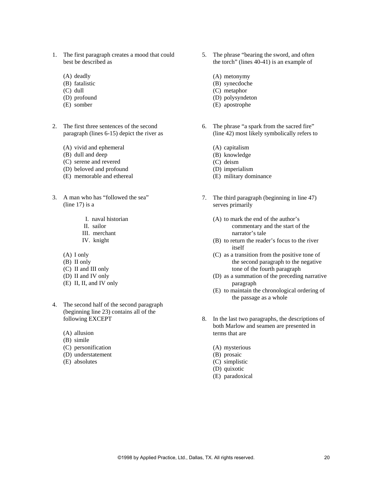- 1. The first paragraph creates a mood that could best be described as
	- (A) deadly
	- (B) fatalistic
	- (C) dull
	- (D) profound
	- (E) somber
- 2. The first three sentences of the second paragraph (lines 6-15) depict the river as
	- (A) vivid and ephemeral
	- (B) dull and deep
	- (C) serene and revered
	- (D) beloved and profound
	- (E) memorable and ethereal
- 3. A man who has "followed the sea" (line 17) is a
	- I. naval historian
	- II. sailor
	- III. merchant
	- IV. knight
	- (A) I only
	- (B) II only
	- (C) II and III only
	- (D) II and IV only
	- (E) II, II, and IV only
- 4. The second half of the second paragraph (beginning line 23) contains all of the following EXCEPT
	- (A) allusion
	- (B) simile
	- (C) personification
	- (D) understatement
	- (E) absolutes
- 5. The phrase "bearing the sword, and often the torch" (lines 40-41) is an example of
	- (A) metonymy
	- (B) synecdoche
	- (C) metaphor
	- (D) polysyndeton
	- (E) apostrophe
- 6. The phrase "a spark from the sacred fire" (line 42) most likely symbolically refers to
	- (A) capitalism
	- (B) knowledge
	- (C) deism
	- (D) imperialism
	- (E) military dominance
- 7. The third paragraph (beginning in line 47) serves primarily
	- (A) to mark the end of the author's commentary and the start of the narrator's tale
	- (B) to return the reader's focus to the river itself
	- (C) as a transition from the positive tone of the second paragraph to the negative tone of the fourth paragraph
	- (D) as a summation of the preceding narrative paragraph
	- (E) to maintain the chronological ordering of the passage as a whole
- 8. In the last two paragraphs, the descriptions of both Marlow and seamen are presented in terms that are
	- (A) mysterious
	- (B) prosaic
	- (C) simplistic
	- (D) quixotic
	- (E) paradoxical